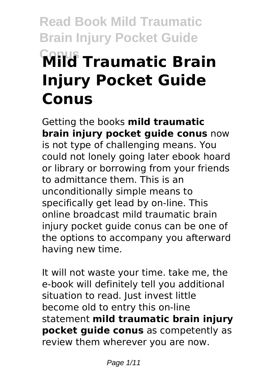# **Read Book Mild Traumatic Brain Injury Pocket Guide Conus Mild Traumatic Brain Injury Pocket Guide Conus**

Getting the books **mild traumatic brain injury pocket guide conus** now is not type of challenging means. You could not lonely going later ebook hoard or library or borrowing from your friends to admittance them. This is an unconditionally simple means to specifically get lead by on-line. This online broadcast mild traumatic brain injury pocket guide conus can be one of the options to accompany you afterward having new time.

It will not waste your time. take me, the e-book will definitely tell you additional situation to read. Just invest little become old to entry this on-line statement **mild traumatic brain injury pocket guide conus** as competently as review them wherever you are now.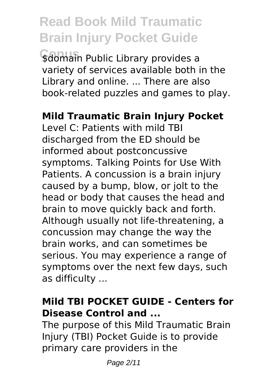**\$domain Public Library provides a** variety of services available both in the Library and online. ... There are also book-related puzzles and games to play.

#### **Mild Traumatic Brain Injury Pocket**

Level C: Patients with mild TBI discharged from the ED should be informed about postconcussive symptoms. Talking Points for Use With Patients. A concussion is a brain injury caused by a bump, blow, or jolt to the head or body that causes the head and brain to move quickly back and forth. Although usually not life-threatening, a concussion may change the way the brain works, and can sometimes be serious. You may experience a range of symptoms over the next few days, such as difficulty ...

#### **Mild TBI POCKET GUIDE - Centers for Disease Control and ...**

The purpose of this Mild Traumatic Brain Injury (TBI) Pocket Guide is to provide primary care providers in the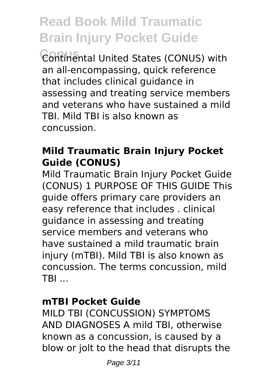**Continental United States (CONUS) with** an all-encompassing, quick reference that includes clinical guidance in assessing and treating service members and veterans who have sustained a mild TBI. Mild TBI is also known as concussion.

#### **Mild Traumatic Brain Injury Pocket Guide (CONUS)**

Mild Traumatic Brain Injury Pocket Guide (CONUS) 1 PURPOSE OF THIS GUIDE This guide offers primary care providers an easy reference that includes . clinical guidance in assessing and treating service members and veterans who have sustained a mild traumatic brain injury (mTBI). Mild TBI is also known as concussion. The terms concussion, mild TBI ...

#### **mTBI Pocket Guide**

MILD TBI (CONCUSSION) SYMPTOMS AND DIAGNOSES A mild TBI, otherwise known as a concussion, is caused by a blow or jolt to the head that disrupts the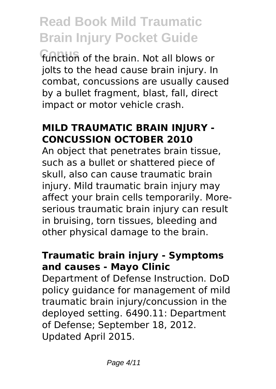function of the brain. Not all blows or jolts to the head cause brain injury. In combat, concussions are usually caused by a bullet fragment, blast, fall, direct impact or motor vehicle crash.

#### **MILD TRAUMATIC BRAIN INJURY - CONCUSSION OCTOBER 2010**

An object that penetrates brain tissue, such as a bullet or shattered piece of skull, also can cause traumatic brain injury. Mild traumatic brain injury may affect your brain cells temporarily. Moreserious traumatic brain injury can result in bruising, torn tissues, bleeding and other physical damage to the brain.

#### **Traumatic brain injury - Symptoms and causes - Mayo Clinic**

Department of Defense Instruction. DoD policy guidance for management of mild traumatic brain injury/concussion in the deployed setting. 6490.11: Department of Defense; September 18, 2012. Updated April 2015.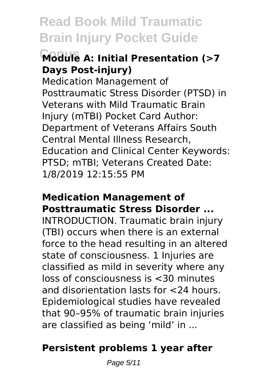### **Conus Module A: Initial Presentation (>7 Days Post-injury)**

Medication Management of Posttraumatic Stress Disorder (PTSD) in Veterans with Mild Traumatic Brain Injury (mTBI) Pocket Card Author: Department of Veterans Affairs South Central Mental Illness Research, Education and Clinical Center Keywords: PTSD; mTBI; Veterans Created Date: 1/8/2019 12:15:55 PM

#### **Medication Management of Posttraumatic Stress Disorder ...**

INTRODUCTION. Traumatic brain injury (TBI) occurs when there is an external force to the head resulting in an altered state of consciousness. 1 Injuries are classified as mild in severity where any loss of consciousness is <30 minutes and disorientation lasts for <24 hours. Epidemiological studies have revealed that 90–95% of traumatic brain injuries are classified as being 'mild' in ...

### **Persistent problems 1 year after**

Page 5/11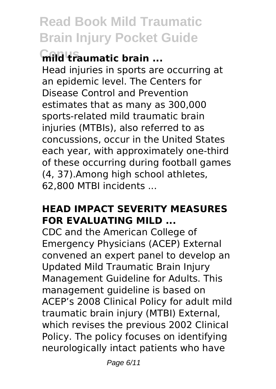### **mild traumatic brain ...**

Head injuries in sports are occurring at an epidemic level. The Centers for Disease Control and Prevention estimates that as many as 300,000 sports-related mild traumatic brain injuries (MTBIs), also referred to as concussions, occur in the United States each year, with approximately one-third of these occurring during football games (4, 37).Among high school athletes, 62,800 MTBI incidents ...

#### **HEAD IMPACT SEVERITY MEASURES FOR EVALUATING MILD ...**

CDC and the American College of Emergency Physicians (ACEP) External convened an expert panel to develop an Updated Mild Traumatic Brain Injury Management Guideline for Adults. This management guideline is based on ACEP's 2008 Clinical Policy for adult mild traumatic brain injury (MTBI) External, which revises the previous 2002 Clinical Policy. The policy focuses on identifying neurologically intact patients who have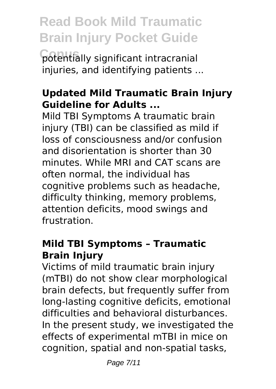**Conus** potentially significant intracranial injuries, and identifying patients ...

#### **Updated Mild Traumatic Brain Injury Guideline for Adults ...**

Mild TBI Symptoms A traumatic brain injury (TBI) can be classified as mild if loss of consciousness and/or confusion and disorientation is shorter than 30 minutes. While MRI and CAT scans are often normal, the individual has cognitive problems such as headache, difficulty thinking, memory problems, attention deficits, mood swings and frustration.

#### **Mild TBI Symptoms – Traumatic Brain Injury**

Victims of mild traumatic brain injury (mTBI) do not show clear morphological brain defects, but frequently suffer from long-lasting cognitive deficits, emotional difficulties and behavioral disturbances. In the present study, we investigated the effects of experimental mTBI in mice on cognition, spatial and non-spatial tasks,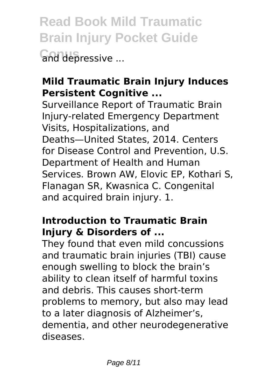**Read Book Mild Traumatic Brain Injury Pocket Guide Conus** and depressive ...

### **Mild Traumatic Brain Injury Induces Persistent Cognitive ...**

Surveillance Report of Traumatic Brain Injury-related Emergency Department Visits, Hospitalizations, and Deaths—United States, 2014. Centers for Disease Control and Prevention, U.S. Department of Health and Human Services. Brown AW, Elovic EP, Kothari S, Flanagan SR, Kwasnica C. Congenital and acquired brain injury. 1.

### **Introduction to Traumatic Brain Injury & Disorders of ...**

They found that even mild concussions and traumatic brain injuries (TBI) cause enough swelling to block the brain's ability to clean itself of harmful toxins and debris. This causes short-term problems to memory, but also may lead to a later diagnosis of Alzheimer's, dementia, and other neurodegenerative diseases.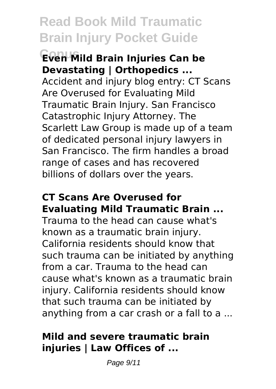#### **Conus Even Mild Brain Injuries Can be Devastating | Orthopedics ...**

Accident and injury blog entry: CT Scans Are Overused for Evaluating Mild Traumatic Brain Injury. San Francisco Catastrophic Injury Attorney. The Scarlett Law Group is made up of a team of dedicated personal injury lawyers in San Francisco. The firm handles a broad range of cases and has recovered billions of dollars over the years.

#### **CT Scans Are Overused for Evaluating Mild Traumatic Brain ...**

Trauma to the head can cause what's known as a traumatic brain injury. California residents should know that such trauma can be initiated by anything from a car. Trauma to the head can cause what's known as a traumatic brain injury. California residents should know that such trauma can be initiated by anything from a car crash or a fall to a ...

#### **Mild and severe traumatic brain injuries | Law Offices of ...**

Page 9/11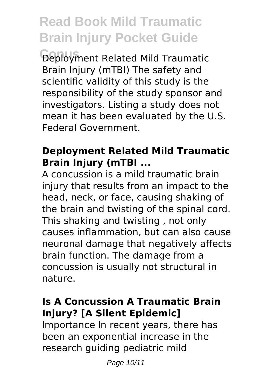**Conus** Deployment Related Mild Traumatic Brain Injury (mTBI) The safety and scientific validity of this study is the responsibility of the study sponsor and investigators. Listing a study does not mean it has been evaluated by the U.S. Federal Government.

#### **Deployment Related Mild Traumatic Brain Injury (mTBI ...**

A concussion is a mild traumatic brain injury that results from an impact to the head, neck, or face, causing shaking of the brain and twisting of the spinal cord. This shaking and twisting , not only causes inflammation, but can also cause neuronal damage that negatively affects brain function. The damage from a concussion is usually not structural in nature.

#### **Is A Concussion A Traumatic Brain Injury? [A Silent Epidemic]**

Importance In recent years, there has been an exponential increase in the research guiding pediatric mild